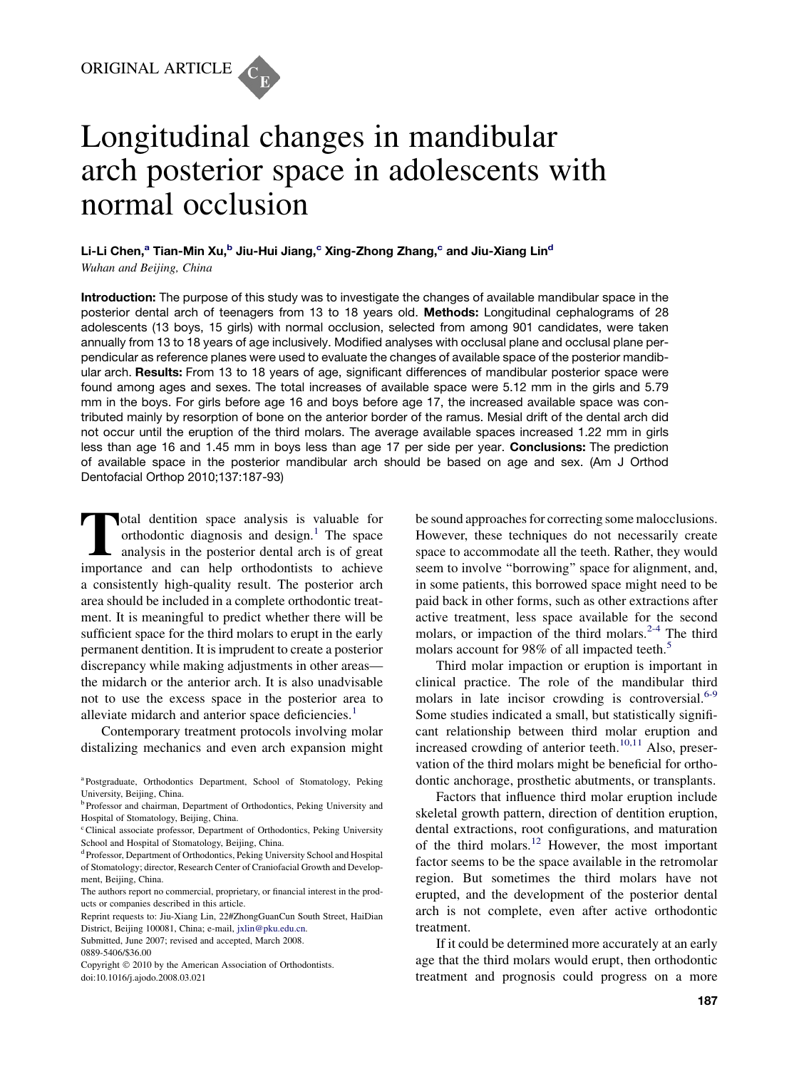

# Longitudinal changes in mandibular arch posterior space in adolescents with normal occlusion

Li-Li Chen,<sup>a</sup> Tian-Min Xu,<sup>b</sup> Jiu-Hui Jiang,<sup>c</sup> Xing-Zhong Zhang,<sup>c</sup> and Jiu-Xiang Lin<sup>d</sup> Wuhan and Beijing, China

Introduction: The purpose of this study was to investigate the changes of available mandibular space in the posterior dental arch of teenagers from 13 to 18 years old. Methods: Longitudinal cephalograms of 28 adolescents (13 boys, 15 girls) with normal occlusion, selected from among 901 candidates, were taken annually from 13 to 18 years of age inclusively. Modified analyses with occlusal plane and occlusal plane perpendicular as reference planes were used to evaluate the changes of available space of the posterior mandibular arch. Results: From 13 to 18 years of age, significant differences of mandibular posterior space were found among ages and sexes. The total increases of available space were 5.12 mm in the girls and 5.79 mm in the boys. For girls before age 16 and boys before age 17, the increased available space was contributed mainly by resorption of bone on the anterior border of the ramus. Mesial drift of the dental arch did not occur until the eruption of the third molars. The average available spaces increased 1.22 mm in girls less than age 16 and 1.45 mm in boys less than age 17 per side per year. **Conclusions:** The prediction of available space in the posterior mandibular arch should be based on age and sex. (Am J Orthod Dentofacial Orthop 2010;137:187-93)

Total dentition space analysis is valuable for<br>orthodontic diagnosis and design.<sup>1</sup> The space<br>analysis in the posterior dental arch is of great<br>importance and can belp orthodontists to achieve orthodontic diagnosis and design.<sup>[1](#page-5-0)</sup> The space analysis in the posterior dental arch is of great importance and can help orthodontists to achieve a consistently high-quality result. The posterior arch area should be included in a complete orthodontic treatment. It is meaningful to predict whether there will be sufficient space for the third molars to erupt in the early permanent dentition. It is imprudent to create a posterior discrepancy while making adjustments in other areas the midarch or the anterior arch. It is also unadvisable not to use the excess space in the posterior area to alleviate midarch and anterior space deficiencies.<sup>[1](#page-5-0)</sup>

Contemporary treatment protocols involving molar distalizing mechanics and even arch expansion might be sound approaches for correcting some malocclusions. However, these techniques do not necessarily create space to accommodate all the teeth. Rather, they would seem to involve ''borrowing'' space for alignment, and, in some patients, this borrowed space might need to be paid back in other forms, such as other extractions after active treatment, less space available for the second molars, or impaction of the third molars. $2-4$  The third molars account for 98% of all impacted teeth.<sup>[5](#page-5-0)</sup>

Third molar impaction or eruption is important in clinical practice. The role of the mandibular third molars in late incisor crowding is controversial.<sup>[6-9](#page-5-0)</sup> Some studies indicated a small, but statistically significant relationship between third molar eruption and increased crowding of anterior teeth. $10,11$  Also, preservation of the third molars might be beneficial for orthodontic anchorage, prosthetic abutments, or transplants.

Factors that influence third molar eruption include skeletal growth pattern, direction of dentition eruption, dental extractions, root configurations, and maturation of the third molars.[12](#page-5-0) However, the most important factor seems to be the space available in the retromolar region. But sometimes the third molars have not erupted, and the development of the posterior dental arch is not complete, even after active orthodontic treatment.

If it could be determined more accurately at an early age that the third molars would erupt, then orthodontic treatment and prognosis could progress on a more

a Postgraduate, Orthodontics Department, School of Stomatology, Peking University, Beijing, China.

<sup>&</sup>lt;sup>b</sup> Professor and chairman, Department of Orthodontics, Peking University and Hospital of Stomatology, Beijing, China.

c Clinical associate professor, Department of Orthodontics, Peking University School and Hospital of Stomatology, Beijing, China.

<sup>&</sup>lt;sup>d</sup> Professor, Department of Orthodontics, Peking University School and Hospital of Stomatology; director, Research Center of Craniofacial Growth and Development, Beijing, China.

The authors report no commercial, proprietary, or financial interest in the products or companies described in this article.

Reprint requests to: Jiu-Xiang Lin, 22#ZhongGuanCun South Street, HaiDian District, Beijing 100081, China; e-mail, [jxlin@pku.edu.cn.](mailto:jxlin@pku.edu.cn)

Submitted, June 2007; revised and accepted, March 2008.

<sup>0889-5406/\$36.00</sup>

Copyright © 2010 by the American Association of Orthodontists. doi:10.1016/j.ajodo.2008.03.021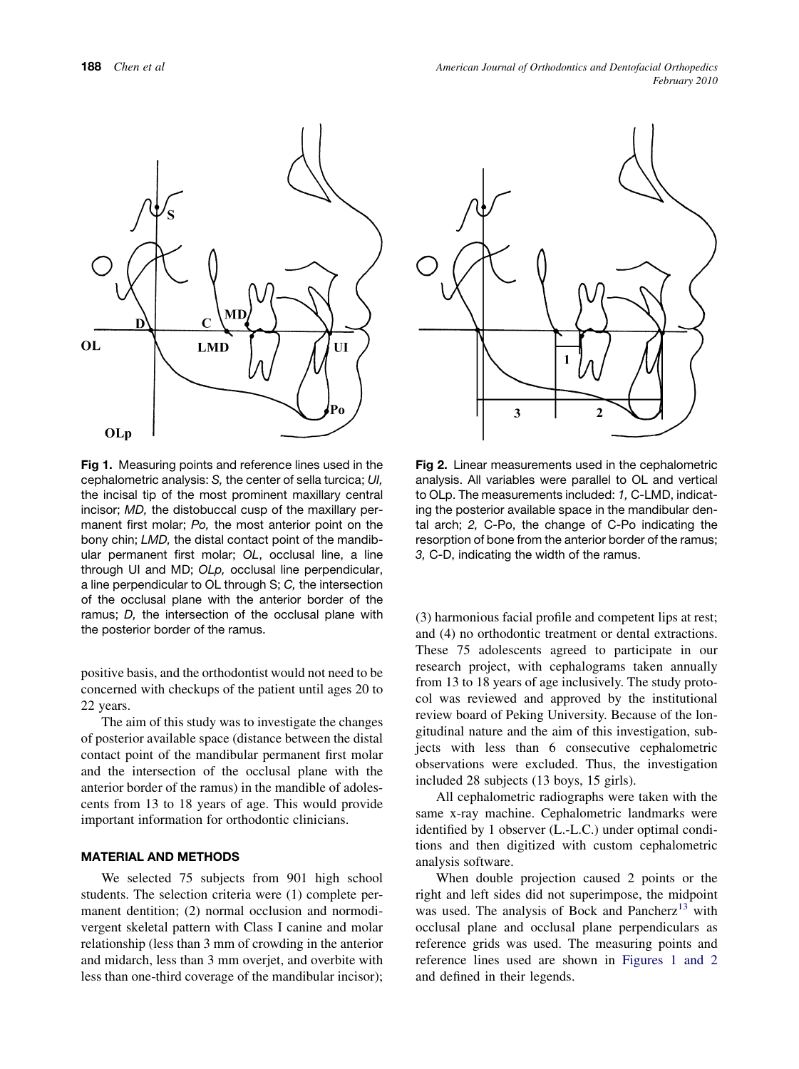

Fig 1. Measuring points and reference lines used in the cephalometric analysis: *S,* the center of sella turcica; *UI,* the incisal tip of the most prominent maxillary central incisor; *MD,* the distobuccal cusp of the maxillary permanent first molar; *Po,* the most anterior point on the bony chin; *LMD,* the distal contact point of the mandibular permanent first molar; *OL*, occlusal line, a line through UI and MD; *OLp,* occlusal line perpendicular, a line perpendicular to OL through S; *C,* the intersection of the occlusal plane with the anterior border of the ramus; *D,* the intersection of the occlusal plane with the posterior border of the ramus.

positive basis, and the orthodontist would not need to be concerned with checkups of the patient until ages 20 to 22 years.

The aim of this study was to investigate the changes of posterior available space (distance between the distal contact point of the mandibular permanent first molar and the intersection of the occlusal plane with the anterior border of the ramus) in the mandible of adolescents from 13 to 18 years of age. This would provide important information for orthodontic clinicians.

## MATERIAL AND METHODS

We selected 75 subjects from 901 high school students. The selection criteria were (1) complete permanent dentition; (2) normal occlusion and normodivergent skeletal pattern with Class I canine and molar relationship (less than 3 mm of crowding in the anterior and midarch, less than 3 mm overjet, and overbite with less than one-third coverage of the mandibular incisor);



Fig 2. Linear measurements used in the cephalometric analysis. All variables were parallel to OL and vertical to OLp. The measurements included: *1,* C-LMD, indicating the posterior available space in the mandibular dental arch; *2,* C-Po, the change of C-Po indicating the resorption of bone from the anterior border of the ramus; *3,* C-D, indicating the width of the ramus.

(3) harmonious facial profile and competent lips at rest; and (4) no orthodontic treatment or dental extractions. These 75 adolescents agreed to participate in our research project, with cephalograms taken annually from 13 to 18 years of age inclusively. The study protocol was reviewed and approved by the institutional review board of Peking University. Because of the longitudinal nature and the aim of this investigation, subjects with less than 6 consecutive cephalometric observations were excluded. Thus, the investigation included 28 subjects (13 boys, 15 girls).

All cephalometric radiographs were taken with the same x-ray machine. Cephalometric landmarks were identified by 1 observer (L.-L.C.) under optimal conditions and then digitized with custom cephalometric analysis software.

When double projection caused 2 points or the right and left sides did not superimpose, the midpoint was used. The analysis of Bock and Pancherz $^{13}$  $^{13}$  $^{13}$  with occlusal plane and occlusal plane perpendiculars as reference grids was used. The measuring points and reference lines used are shown in Figures 1 and 2 and defined in their legends.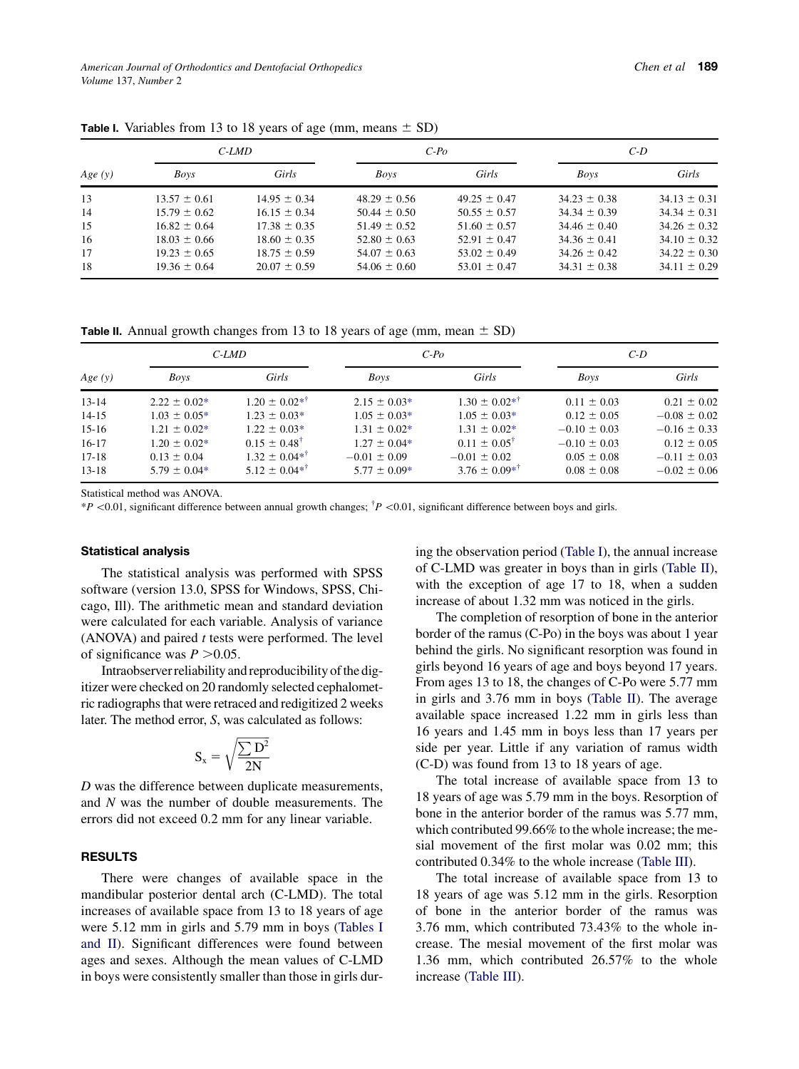| Age(y) | $C-LMD$          |                  | $C-PQ$           |                  | $C-D$            |                  |
|--------|------------------|------------------|------------------|------------------|------------------|------------------|
|        | <b>Boys</b>      | Girls            | <b>Boys</b>      | Girls            | Boys             | Girls            |
| 13     | $13.57 \pm 0.61$ | $14.95 \pm 0.34$ | $48.29 \pm 0.56$ | $49.25 \pm 0.47$ | $34.23 \pm 0.38$ | $34.13 \pm 0.31$ |
| 14     | $15.79 \pm 0.62$ | $16.15 \pm 0.34$ | $50.44 \pm 0.50$ | $50.55 \pm 0.57$ | $34.34 \pm 0.39$ | $34.34 \pm 0.31$ |
| 15     | $16.82 \pm 0.64$ | $17.38 \pm 0.35$ | $51.49 \pm 0.52$ | $51.60 \pm 0.57$ | $34.46 \pm 0.40$ | $34.26 \pm 0.32$ |
| 16     | $18.03 \pm 0.66$ | $18.60 \pm 0.35$ | $52.80 \pm 0.63$ | $52.91 \pm 0.47$ | $34.36 \pm 0.41$ | $34.10 \pm 0.32$ |
| 17     | $19.23 \pm 0.65$ | $18.75 \pm 0.59$ | $54.07 \pm 0.63$ | $53.02 \pm 0.49$ | $34.26 \pm 0.42$ | $34.22 \pm 0.30$ |
| 18     | $19.36 \pm 0.64$ | $20.07 \pm 0.59$ | $54.06 \pm 0.60$ | $53.01 \pm 0.47$ | $34.31 \pm 0.38$ | $34.11 \pm 0.29$ |

<span id="page-2-0"></span>**Table I.** Variables from 13 to 18 years of age (mm, means  $\pm$  SD)

**Table II.** Annual growth changes from 13 to 18 years of age (mm, mean  $\pm$  SD)

| Age $(y)$ | $C-LMD$          |                                | $C-PQ$           |                            | $C-D$            |                  |
|-----------|------------------|--------------------------------|------------------|----------------------------|------------------|------------------|
|           | Boys             | Girls                          | <b>Boys</b>      | Girls                      | Boys             | Girls            |
| $13 - 14$ | $2.22 \pm 0.02*$ | $1.20 \pm 0.02$ * <sup>†</sup> | $2.15 \pm 0.03*$ | $1.30 \pm 0.02^{*}$        | $0.11 \pm 0.03$  | $0.21 \pm 0.02$  |
| $14 - 15$ | $1.03 \pm 0.05*$ | $1.23 \pm 0.03*$               | $1.05 \pm 0.03*$ | $1.05 \pm 0.03*$           | $0.12 \pm 0.05$  | $-0.08 \pm 0.02$ |
| $15-16$   | $1.21 \pm 0.02*$ | $1.22 \pm 0.03*$               | $1.31 \pm 0.02*$ | $1.31 \pm 0.02*$           | $-0.10 \pm 0.03$ | $-0.16 \pm 0.33$ |
| $16-17$   | $1.20 \pm 0.02*$ | $0.15 \pm 0.48^{\dagger}$      | $1.27 \pm 0.04*$ | $0.11 \pm 0.05^{\dagger}$  | $-0.10 \pm 0.03$ | $0.12 \pm 0.05$  |
| $17 - 18$ | $0.13 \pm 0.04$  | $1.32 + 0.04*^{\dagger}$       | $-0.01 \pm 0.09$ | $-0.01 \pm 0.02$           | $0.05 \pm 0.08$  | $-0.11 \pm 0.03$ |
| $13 - 18$ | $5.79 \pm 0.04*$ | $5.12 \pm 0.04*^{\dagger}$     | $5.77 \pm 0.09*$ | $3.76 \pm 0.09*^{\dagger}$ | $0.08 \pm 0.08$  | $-0.02 \pm 0.06$ |

Statistical method was ANOVA.

 $*P$  <0.01, significant difference between annual growth changes;  $\frac{\dagger P}{\text{0.01}}$ , significant difference between boys and girls.

#### Statistical analysis

The statistical analysis was performed with SPSS software (version 13.0, SPSS for Windows, SPSS, Chicago, Ill). The arithmetic mean and standard deviation were calculated for each variable. Analysis of variance (ANOVA) and paired t tests were performed. The level of significance was  $P > 0.05$ .

Intraobserver reliability and reproducibility of the digitizer were checked on 20 randomly selected cephalometric radiographs that were retraced and redigitized 2 weeks later. The method error, S, was calculated as follows:

$$
S_x = \sqrt{\frac{\sum D^2}{2N}}
$$

D was the difference between duplicate measurements, and N was the number of double measurements. The errors did not exceed 0.2 mm for any linear variable.

## RESULTS

There were changes of available space in the mandibular posterior dental arch (C-LMD). The total increases of available space from 13 to 18 years of age were 5.12 mm in girls and 5.79 mm in boys (Tables I and II). Significant differences were found between ages and sexes. Although the mean values of C-LMD in boys were consistently smaller than those in girls during the observation period (Table I), the annual increase of C-LMD was greater in boys than in girls (Table II), with the exception of age 17 to 18, when a sudden increase of about 1.32 mm was noticed in the girls.

The completion of resorption of bone in the anterior border of the ramus (C-Po) in the boys was about 1 year behind the girls. No significant resorption was found in girls beyond 16 years of age and boys beyond 17 years. From ages 13 to 18, the changes of C-Po were 5.77 mm in girls and 3.76 mm in boys (Table II). The average available space increased 1.22 mm in girls less than 16 years and 1.45 mm in boys less than 17 years per side per year. Little if any variation of ramus width (C-D) was found from 13 to 18 years of age.

The total increase of available space from 13 to 18 years of age was 5.79 mm in the boys. Resorption of bone in the anterior border of the ramus was 5.77 mm, which contributed 99.66% to the whole increase; the mesial movement of the first molar was 0.02 mm; this contributed 0.34% to the whole increase ([Table III](#page-3-0)).

The total increase of available space from 13 to 18 years of age was 5.12 mm in the girls. Resorption of bone in the anterior border of the ramus was 3.76 mm, which contributed 73.43% to the whole increase. The mesial movement of the first molar was 1.36 mm, which contributed 26.57% to the whole increase [\(Table III](#page-3-0)).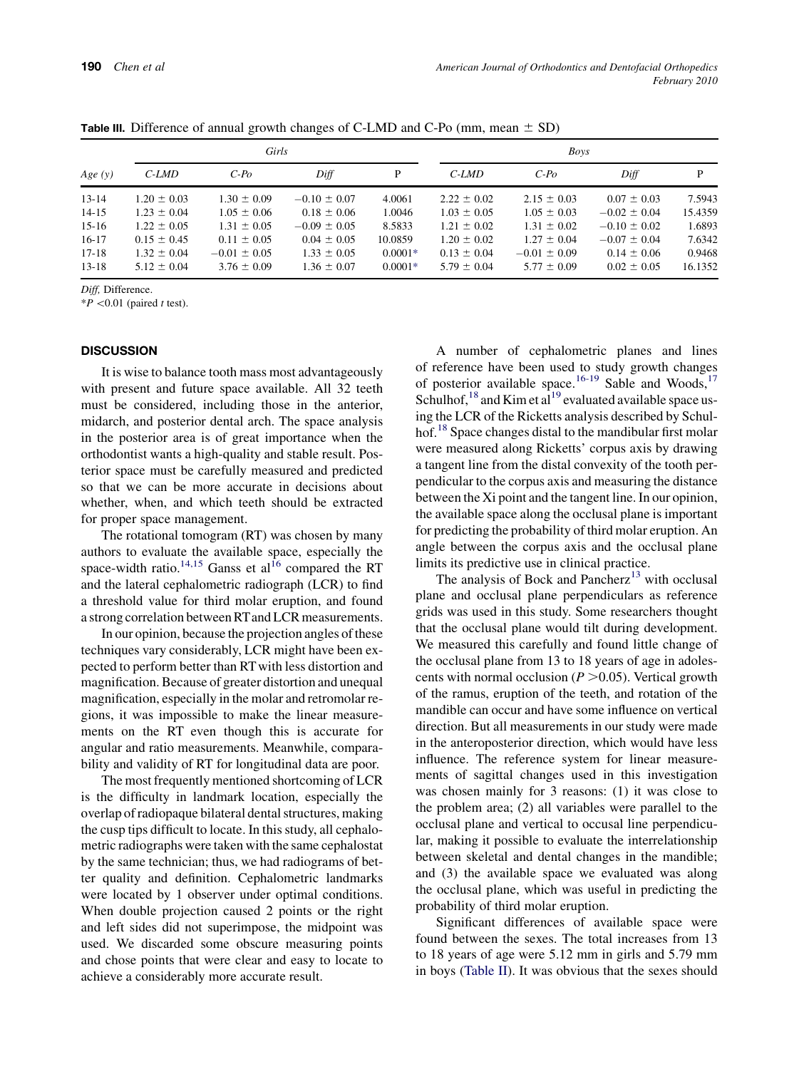|           |                 |                  | ັ                |           |                 |                  |                  |         |  |
|-----------|-----------------|------------------|------------------|-----------|-----------------|------------------|------------------|---------|--|
|           |                 | Girls            |                  |           | <b>Boys</b>     |                  |                  |         |  |
| Age (y)   | C-LMD           | $C-Po$           | Diff             | P         | C-LMD           | $C-Po$           | Diff             | P       |  |
| $13 - 14$ | $1.20 \pm 0.03$ | $1.30 \pm 0.09$  | $-0.10 \pm 0.07$ | 4.0061    | $2.22 \pm 0.02$ | $2.15 \pm 0.03$  | $0.07 \pm 0.03$  | 7.5943  |  |
| $14 - 15$ | $1.23 \pm 0.04$ | $1.05 \pm 0.06$  | $0.18 \pm 0.06$  | 1.0046    | $1.03 \pm 0.05$ | $1.05 \pm 0.03$  | $-0.02 \pm 0.04$ | 15.4359 |  |
| $15-16$   | $1.22 \pm 0.05$ | $1.31 \pm 0.05$  | $-0.09 \pm 0.05$ | 8.5833    | $1.21 \pm 0.02$ | $1.31 \pm 0.02$  | $-0.10 \pm 0.02$ | 1.6893  |  |
| $16-17$   | $0.15 \pm 0.45$ | $0.11 \pm 0.05$  | $0.04 \pm 0.05$  | 10.0859   | $1.20 \pm 0.02$ | $1.27 \pm 0.04$  | $-0.07 \pm 0.04$ | 7.6342  |  |
| $17 - 18$ | $1.32 \pm 0.04$ | $-0.01 \pm 0.05$ | $1.33 \pm 0.05$  | $0.0001*$ | $0.13 \pm 0.04$ | $-0.01 \pm 0.09$ | $0.14 \pm 0.06$  | 0.9468  |  |
| $13 - 18$ | $5.12 \pm 0.04$ | $3.76 \pm 0.09$  | $1.36 \pm 0.07$  | $0.0001*$ | $5.79 \pm 0.04$ | $5.77 \pm 0.09$  | $0.02 \pm 0.05$  | 16.1352 |  |

<span id="page-3-0"></span>**Table III.** Difference of annual growth changes of C-LMD and C-Po (mm, mean  $\pm$  SD)

Diff, Difference.

 $*P$  <0.01 (paired t test).

## **DISCUSSION**

It is wise to balance tooth mass most advantageously with present and future space available. All 32 teeth must be considered, including those in the anterior, midarch, and posterior dental arch. The space analysis in the posterior area is of great importance when the orthodontist wants a high-quality and stable result. Posterior space must be carefully measured and predicted so that we can be more accurate in decisions about whether, when, and which teeth should be extracted for proper space management.

The rotational tomogram (RT) was chosen by many authors to evaluate the available space, especially the space-width ratio.<sup>14,15</sup> Ganss et al<sup>16</sup> compared the RT and the lateral cephalometric radiograph (LCR) to find a threshold value for third molar eruption, and found a strong correlation between RTand LCR measurements.

In our opinion, because the projection angles of these techniques vary considerably, LCR might have been expected to perform better than RT with less distortion and magnification. Because of greater distortion and unequal magnification, especially in the molar and retromolar regions, it was impossible to make the linear measurements on the RT even though this is accurate for angular and ratio measurements. Meanwhile, comparability and validity of RT for longitudinal data are poor.

The most frequently mentioned shortcoming of LCR is the difficulty in landmark location, especially the overlap of radiopaque bilateral dental structures, making the cusp tips difficult to locate. In this study, all cephalometric radiographs were taken with the same cephalostat by the same technician; thus, we had radiograms of better quality and definition. Cephalometric landmarks were located by 1 observer under optimal conditions. When double projection caused 2 points or the right and left sides did not superimpose, the midpoint was used. We discarded some obscure measuring points and chose points that were clear and easy to locate to achieve a considerably more accurate result.

A number of cephalometric planes and lines of reference have been used to study growth changes of posterior available space.<sup>[16-19](#page-5-0)</sup> Sable and Woods,<sup>17</sup> Schulhof,<sup>[18](#page-5-0)</sup> and Kim et al<sup>[19](#page-5-0)</sup> evaluated available space using the LCR of the Ricketts analysis described by Schul-hof.<sup>[18](#page-5-0)</sup> Space changes distal to the mandibular first molar were measured along Ricketts' corpus axis by drawing a tangent line from the distal convexity of the tooth perpendicular to the corpus axis and measuring the distance between the Xi point and the tangent line. In our opinion, the available space along the occlusal plane is important for predicting the probability of third molar eruption. An angle between the corpus axis and the occlusal plane limits its predictive use in clinical practice.

The analysis of Bock and Pancherz $13$  with occlusal plane and occlusal plane perpendiculars as reference grids was used in this study. Some researchers thought that the occlusal plane would tilt during development. We measured this carefully and found little change of the occlusal plane from 13 to 18 years of age in adolescents with normal occlusion ( $P > 0.05$ ). Vertical growth of the ramus, eruption of the teeth, and rotation of the mandible can occur and have some influence on vertical direction. But all measurements in our study were made in the anteroposterior direction, which would have less influence. The reference system for linear measurements of sagittal changes used in this investigation was chosen mainly for 3 reasons: (1) it was close to the problem area; (2) all variables were parallel to the occlusal plane and vertical to occusal line perpendicular, making it possible to evaluate the interrelationship between skeletal and dental changes in the mandible; and (3) the available space we evaluated was along the occlusal plane, which was useful in predicting the probability of third molar eruption.

Significant differences of available space were found between the sexes. The total increases from 13 to 18 years of age were 5.12 mm in girls and 5.79 mm in boys [\(Table II\)](#page-2-0). It was obvious that the sexes should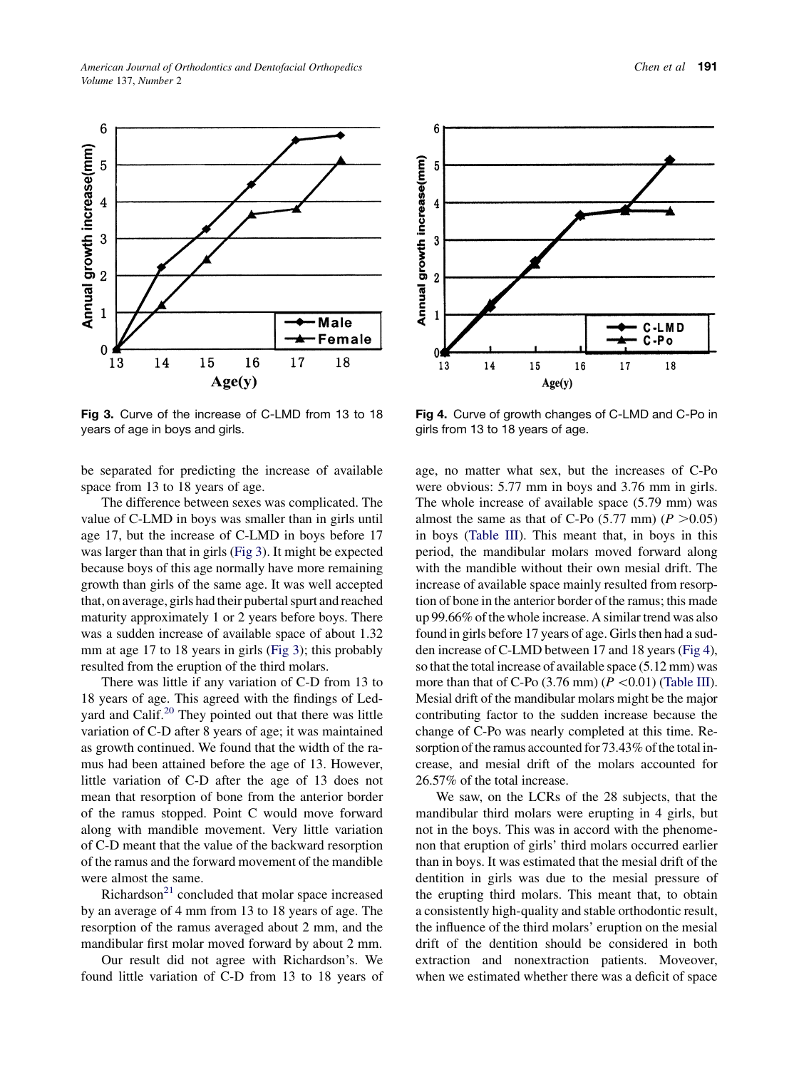

Fig 3. Curve of the increase of C-LMD from 13 to 18 years of age in boys and girls.

be separated for predicting the increase of available space from 13 to 18 years of age.

The difference between sexes was complicated. The value of C-LMD in boys was smaller than in girls until age 17, but the increase of C-LMD in boys before 17 was larger than that in girls (Fig 3). It might be expected because boys of this age normally have more remaining growth than girls of the same age. It was well accepted that, on average, girls had their pubertal spurt and reached maturity approximately 1 or 2 years before boys. There was a sudden increase of available space of about 1.32 mm at age 17 to 18 years in girls (Fig 3); this probably resulted from the eruption of the third molars.

There was little if any variation of C-D from 13 to 18 years of age. This agreed with the findings of Ledyard and Calif. $^{20}$  They pointed out that there was little variation of C-D after 8 years of age; it was maintained as growth continued. We found that the width of the ramus had been attained before the age of 13. However, little variation of C-D after the age of 13 does not mean that resorption of bone from the anterior border of the ramus stopped. Point C would move forward along with mandible movement. Very little variation of C-D meant that the value of the backward resorption of the ramus and the forward movement of the mandible were almost the same.

Richardson $^{21}$  $^{21}$  $^{21}$  concluded that molar space increased by an average of 4 mm from 13 to 18 years of age. The resorption of the ramus averaged about 2 mm, and the mandibular first molar moved forward by about 2 mm.

Our result did not agree with Richardson's. We found little variation of C-D from 13 to 18 years of



Fig 4. Curve of growth changes of C-LMD and C-Po in girls from 13 to 18 years of age.

age, no matter what sex, but the increases of C-Po were obvious: 5.77 mm in boys and 3.76 mm in girls. The whole increase of available space (5.79 mm) was almost the same as that of C-Po  $(5.77 \text{ mm})$   $(P > 0.05)$ in boys [\(Table III\)](#page-3-0). This meant that, in boys in this period, the mandibular molars moved forward along with the mandible without their own mesial drift. The increase of available space mainly resulted from resorption of bone in the anterior border of the ramus; this made up 99.66% of the whole increase. A similar trend was also found in girls before 17 years of age. Girls then had a sudden increase of C-LMD between 17 and 18 years (Fig 4), so that the total increase of available space (5.12 mm) was more than that of C-Po  $(3.76 \text{ mm})$   $(P \lt 0.01)$  [\(Table III\)](#page-3-0). Mesial drift of the mandibular molars might be the major contributing factor to the sudden increase because the change of C-Po was nearly completed at this time. Resorption of the ramus accounted for 73.43% of the total increase, and mesial drift of the molars accounted for 26.57% of the total increase.

We saw, on the LCRs of the 28 subjects, that the mandibular third molars were erupting in 4 girls, but not in the boys. This was in accord with the phenomenon that eruption of girls' third molars occurred earlier than in boys. It was estimated that the mesial drift of the dentition in girls was due to the mesial pressure of the erupting third molars. This meant that, to obtain a consistently high-quality and stable orthodontic result, the influence of the third molars' eruption on the mesial drift of the dentition should be considered in both extraction and nonextraction patients. Moveover, when we estimated whether there was a deficit of space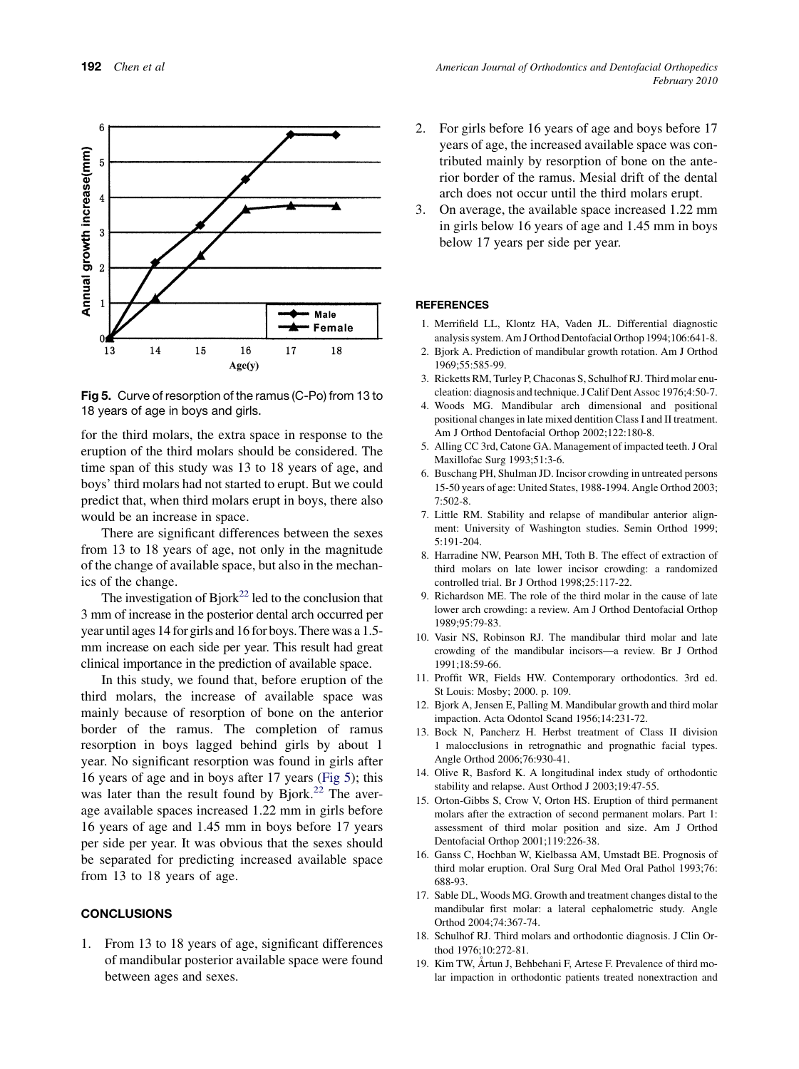<span id="page-5-0"></span>

Fig 5. Curve of resorption of the ramus (C-Po) from 13 to 18 years of age in boys and girls.

for the third molars, the extra space in response to the eruption of the third molars should be considered. The time span of this study was 13 to 18 years of age, and boys' third molars had not started to erupt. But we could predict that, when third molars erupt in boys, there also would be an increase in space.

There are significant differences between the sexes from 13 to 18 years of age, not only in the magnitude of the change of available space, but also in the mechanics of the change.

The investigation of  $Bjork<sup>22</sup>$  led to the conclusion that 3 mm of increase in the posterior dental arch occurred per year until ages 14 for girls and 16 for boys. There was a 1.5 mm increase on each side per year. This result had great clinical importance in the prediction of available space.

In this study, we found that, before eruption of the third molars, the increase of available space was mainly because of resorption of bone on the anterior border of the ramus. The completion of ramus resorption in boys lagged behind girls by about 1 year. No significant resorption was found in girls after 16 years of age and in boys after 17 years (Fig 5); this was later than the result found by Bjork.<sup>[22](#page-6-0)</sup> The average available spaces increased 1.22 mm in girls before 16 years of age and 1.45 mm in boys before 17 years per side per year. It was obvious that the sexes should be separated for predicting increased available space from 13 to 18 years of age.

#### **CONCLUSIONS**

1. From 13 to 18 years of age, significant differences of mandibular posterior available space were found between ages and sexes.

- 2. For girls before 16 years of age and boys before 17 years of age, the increased available space was contributed mainly by resorption of bone on the anterior border of the ramus. Mesial drift of the dental arch does not occur until the third molars erupt.
- 3. On average, the available space increased 1.22 mm in girls below 16 years of age and 1.45 mm in boys below 17 years per side per year.

#### **REFERENCES**

- 1. Merrifield LL, Klontz HA, Vaden JL. Differential diagnostic analysis system. Am J Orthod Dentofacial Orthop 1994;106:641-8.
- 2. Bjork A. Prediction of mandibular growth rotation. Am J Orthod 1969;55:585-99.
- 3. Ricketts RM, Turley P, Chaconas S, Schulhof RJ. Third molar enucleation: diagnosis and technique. J Calif Dent Assoc 1976;4:50-7.
- 4. Woods MG. Mandibular arch dimensional and positional positional changes in late mixed dentition Class I and II treatment. Am J Orthod Dentofacial Orthop 2002;122:180-8.
- 5. Alling CC 3rd, Catone GA. Management of impacted teeth. J Oral Maxillofac Surg 1993;51:3-6.
- 6. Buschang PH, Shulman JD. Incisor crowding in untreated persons 15-50 years of age: United States, 1988-1994. Angle Orthod 2003; 7:502-8.
- 7. Little RM. Stability and relapse of mandibular anterior alignment: University of Washington studies. Semin Orthod 1999; 5:191-204.
- 8. Harradine NW, Pearson MH, Toth B. The effect of extraction of third molars on late lower incisor crowding: a randomized controlled trial. Br J Orthod 1998;25:117-22.
- 9. Richardson ME. The role of the third molar in the cause of late lower arch crowding: a review. Am J Orthod Dentofacial Orthop 1989;95:79-83.
- 10. Vasir NS, Robinson RJ. The mandibular third molar and late crowding of the mandibular incisors—a review. Br J Orthod 1991;18:59-66.
- 11. Proffit WR, Fields HW. Contemporary orthodontics. 3rd ed. St Louis: Mosby; 2000. p. 109.
- 12. Bjork A, Jensen E, Palling M. Mandibular growth and third molar impaction. Acta Odontol Scand 1956;14:231-72.
- 13. Bock N, Pancherz H. Herbst treatment of Class II division 1 malocclusions in retrognathic and prognathic facial types. Angle Orthod 2006;76:930-41.
- 14. Olive R, Basford K. A longitudinal index study of orthodontic stability and relapse. Aust Orthod J 2003;19:47-55.
- 15. Orton-Gibbs S, Crow V, Orton HS. Eruption of third permanent molars after the extraction of second permanent molars. Part 1: assessment of third molar position and size. Am J Orthod Dentofacial Orthop 2001;119:226-38.
- 16. Ganss C, Hochban W, Kielbassa AM, Umstadt BE. Prognosis of third molar eruption. Oral Surg Oral Med Oral Pathol 1993;76: 688-93.
- 17. Sable DL, Woods MG. Growth and treatment changes distal to the mandibular first molar: a lateral cephalometric study. Angle Orthod 2004;74:367-74.
- 18. Schulhof RJ. Third molars and orthodontic diagnosis. J Clin Orthod 1976;10:272-81.
- 19. Kim TW, Artun J, Behbehani F, Artese F. Prevalence of third molar impaction in orthodontic patients treated nonextraction and